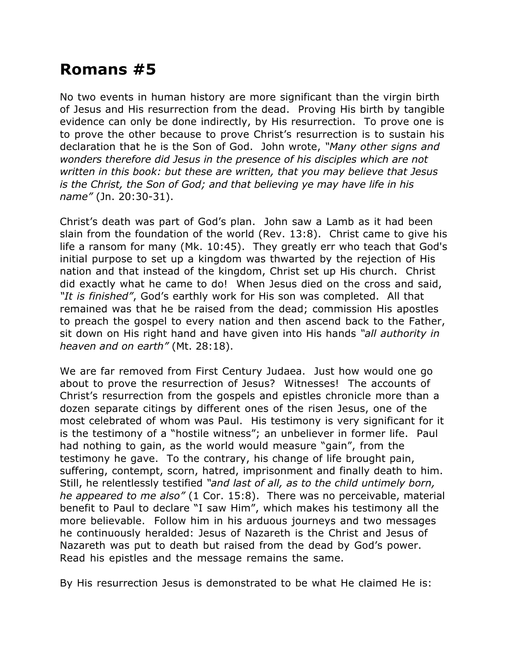## **Romans #5**

No two events in human history are more significant than the virgin birth of Jesus and His resurrection from the dead. Proving His birth by tangible evidence can only be done indirectly, by His resurrection. To prove one is to prove the other because to prove Christ's resurrection is to sustain his declaration that he is the Son of God. John wrote, *"Many other signs and wonders therefore did Jesus in the presence of his disciples which are not written in this book: but these are written, that you may believe that Jesus is the Christ, the Son of God; and that believing ye may have life in his name"* (Jn. 20:30-31).

Christ's death was part of God's plan. John saw a Lamb as it had been slain from the foundation of the world (Rev. 13:8). Christ came to give his life a ransom for many (Mk. 10:45). They greatly err who teach that God's initial purpose to set up a kingdom was thwarted by the rejection of His nation and that instead of the kingdom, Christ set up His church. Christ did exactly what he came to do! When Jesus died on the cross and said, *"It is finished"*, God's earthly work for His son was completed. All that remained was that he be raised from the dead; commission His apostles to preach the gospel to every nation and then ascend back to the Father, sit down on His right hand and have given into His hands *"all authority in heaven and on earth"* (Mt. 28:18).

We are far removed from First Century Judaea. Just how would one go about to prove the resurrection of Jesus? Witnesses! The accounts of Christ's resurrection from the gospels and epistles chronicle more than a dozen separate citings by different ones of the risen Jesus, one of the most celebrated of whom was Paul. His testimony is very significant for it is the testimony of a "hostile witness"; an unbeliever in former life. Paul had nothing to gain, as the world would measure "gain", from the testimony he gave. To the contrary, his change of life brought pain, suffering, contempt, scorn, hatred, imprisonment and finally death to him. Still, he relentlessly testified *"and last of all, as to the child untimely born, he appeared to me also"* (1 Cor. 15:8). There was no perceivable, material benefit to Paul to declare "I saw Him", which makes his testimony all the more believable. Follow him in his arduous journeys and two messages he continuously heralded: Jesus of Nazareth is the Christ and Jesus of Nazareth was put to death but raised from the dead by God's power. Read his epistles and the message remains the same.

By His resurrection Jesus is demonstrated to be what He claimed He is: